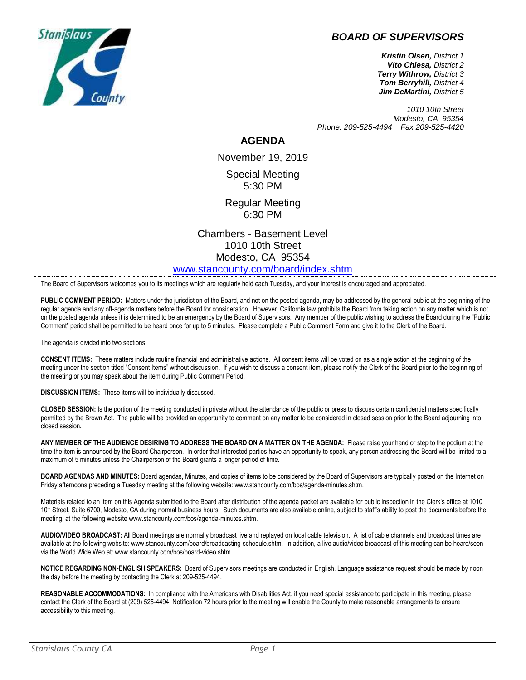## *BOARD OF SUPERVISORS*



*Kristin Olsen, District 1 Vito Chiesa, District 2 Terry Withrow, District 3 Tom Berryhill, District 4 Jim DeMartini, District 5*

*1010 10th Street Modesto, CA 95354 Phone: 209-525-4494 Fax 209-525-4420*

## **AGENDA**

November 19, 2019 Special Meeting 5:30 PM

Regular Meeting 6:30 PM

Chambers - Basement Level 1010 10th Street Modesto, CA 95354 [www.stancounty.com/board/index.shtm](http://www.stancounty.com/board/index.shtm)

The Board of Supervisors welcomes you to its meetings which are regularly held each Tuesday, and your interest is encouraged and appreciated.

PUBLIC COMMENT PERIOD: Matters under the jurisdiction of the Board, and not on the posted agenda, may be addressed by the general public at the beginning of the regular agenda and any off-agenda matters before the Board for consideration. However, California law prohibits the Board from taking action on any matter which is not on the posted agenda unless it is determined to be an emergency by the Board of Supervisors. Any member of the public wishing to address the Board during the "Public Comment" period shall be permitted to be heard once for up to 5 minutes. Please complete a Public Comment Form and give it to the Clerk of the Board.

The agenda is divided into two sections:

**CONSENT ITEMS:** These matters include routine financial and administrative actions. All consent items will be voted on as a single action at the beginning of the meeting under the section titled "Consent Items" without discussion. If you wish to discuss a consent item, please notify the Clerk of the Board prior to the beginning of the meeting or you may speak about the item during Public Comment Period.

**DISCUSSION ITEMS:** These items will be individually discussed.

**CLOSED SESSION:** Is the portion of the meeting conducted in private without the attendance of the public or press to discuss certain confidential matters specifically permitted by the Brown Act. The public will be provided an opportunity to comment on any matter to be considered in closed session prior to the Board adjourning into closed session**.**

**ANY MEMBER OF THE AUDIENCE DESIRING TO ADDRESS THE BOARD ON A MATTER ON THE AGENDA:** Please raise your hand or step to the podium at the time the item is announced by the Board Chairperson. In order that interested parties have an opportunity to speak, any person addressing the Board will be limited to a maximum of 5 minutes unless the Chairperson of the Board grants a longer period of time.

**BOARD AGENDAS AND MINUTES:** Board agendas, Minutes, and copies of items to be considered by the Board of Supervisors are typically posted on the Internet on Friday afternoons preceding a Tuesday meeting at the following website: www.stancounty.com/bos/agenda-minutes.shtm.

Materials related to an item on this Agenda submitted to the Board after distribution of the agenda packet are available for public inspection in the Clerk's office at 1010 10<sup>th</sup> Street, Suite 6700, Modesto, CA during normal business hours. Such documents are also available online, subject to staff's ability to post the documents before the meeting, at the following website www.stancounty.com/bos/agenda-minutes.shtm.

**AUDIO/VIDEO BROADCAST:** All Board meetings are normally broadcast live and replayed on local cable television. A list of cable channels and broadcast times are available at the following website: www.stancounty.com/board/broadcasting-schedule.shtm. In addition, a live audio/video broadcast of this meeting can be heard/seen via the World Wide Web at: www.stancounty.com/bos/board-video.shtm.

**NOTICE REGARDING NON-ENGLISH SPEAKERS:** Board of Supervisors meetings are conducted in English. Language assistance request should be made by noon the day before the meeting by contacting the Clerk at 209-525-4494.

REASONABLE ACCOMMODATIONS: In compliance with the Americans with Disabilities Act, if you need special assistance to participate in this meeting, please contact the Clerk of the Board at (209) 525-4494. Notification 72 hours prior to the meeting will enable the County to make reasonable arrangements to ensure accessibility to this meeting.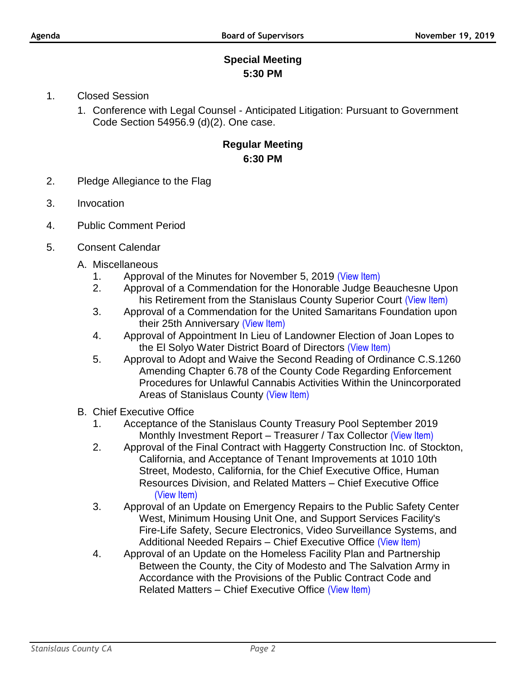## **Special Meeting 5:30 PM**

- 1. Closed Session
	- 1. Conference with Legal Counsel Anticipated Litigation: Pursuant to Government Code Section 54956.9 (d)(2). One case.

## **Regular Meeting 6:30 PM**

- 2. Pledge Allegiance to the Flag
- 3. Invocation
- 4. Public Comment Period
- 5. Consent Calendar
	- A. Miscellaneous
		- 1. Approval of the Minutes for November 5, 2019 [\(View Item\)](http://www.stancounty.com/bos/minutes/2019/min11-05-19.pdf)
		- 2. Approval of a Commendation for the Honorable Judge Beauchesne Upon his Retirement from the Stanislaus County Superior Court [\(View Item\)](http://www.stancounty.com/bos/agenda/2019/20191119/A02.pdf)
		- 3. Approval of a Commendation for the United Samaritans Foundation upon their 25th Anniversary [\(View Item\)](http://www.stancounty.com/bos/agenda/2019/20191119/A03.pdf)
		- 4. Approval of Appointment In Lieu of Landowner Election of Joan Lopes to the El Solyo Water District Board of Directors [\(View Item\)](http://www.stancounty.com/bos/agenda/2019/20191119/A04.pdf)
		- 5. Approval to Adopt and Waive the Second Reading of Ordinance C.S.1260 Amending Chapter 6.78 of the County Code Regarding Enforcement Procedures for Unlawful Cannabis Activities Within the Unincorporated Areas of Stanislaus County [\(View Item\)](http://www.stancounty.com/bos/agenda/2019/20191119/A05.pdf)
	- B. Chief Executive Office
		- 1. Acceptance of the Stanislaus County Treasury Pool September 2019 Monthly Investment Report – Treasurer / Tax Collector [\(View Item\)](http://www.stancounty.com/bos/agenda/2019/20191119/B01.pdf)
		- 2. Approval of the Final Contract with Haggerty Construction Inc. of Stockton, California, and Acceptance of Tenant Improvements at 1010 10th Street, Modesto, California, for the Chief Executive Office, Human Resources Division, and Related Matters – Chief Executive Office [\(View Item\)](http://www.stancounty.com/bos/agenda/2019/20191119/B02.pdf)
		- 3. Approval of an Update on Emergency Repairs to the Public Safety Center West, Minimum Housing Unit One, and Support Services Facility's Fire-Life Safety, Secure Electronics, Video Surveillance Systems, and Additional Needed Repairs – Chief Executive Office [\(View Item\)](http://www.stancounty.com/bos/agenda/2019/20191119/B03.pdf)
		- 4. Approval of an Update on the Homeless Facility Plan and Partnership Between the County, the City of Modesto and The Salvation Army in Accordance with the Provisions of the Public Contract Code and Related Matters – Chief Executive Office [\(View Item\)](http://www.stancounty.com/bos/agenda/2019/20191119/B04.pdf)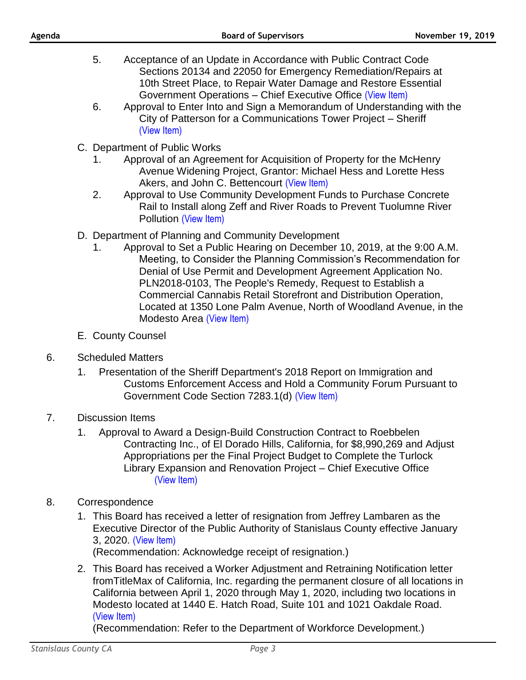- 5. Acceptance of an Update in Accordance with Public Contract Code Sections 20134 and 22050 for Emergency Remediation/Repairs at 10th Street Place, to Repair Water Damage and Restore Essential Government Operations – Chief Executive Office [\(View Item\)](http://www.stancounty.com/bos/agenda/2019/20191119/B05.pdf)
- 6. Approval to Enter Into and Sign a Memorandum of Understanding with the City of Patterson for a Communications Tower Project – Sheriff [\(View Item\)](http://www.stancounty.com/bos/agenda/2019/20191119/B06.pdf)
- C. Department of Public Works
	- 1. Approval of an Agreement for Acquisition of Property for the McHenry Avenue Widening Project, Grantor: Michael Hess and Lorette Hess Akers, and John C. Bettencourt [\(View Item\)](http://www.stancounty.com/bos/agenda/2019/20191119/C01.pdf)
	- 2. Approval to Use Community Development Funds to Purchase Concrete Rail to Install along Zeff and River Roads to Prevent Tuolumne River Pollution [\(View Item\)](http://www.stancounty.com/bos/agenda/2019/20191119/C02.pdf)
- D. Department of Planning and Community Development
	- 1. Approval to Set a Public Hearing on December 10, 2019, at the 9:00 A.M. Meeting, to Consider the Planning Commission's Recommendation for Denial of Use Permit and Development Agreement Application No. PLN2018-0103, The People's Remedy, Request to Establish a Commercial Cannabis Retail Storefront and Distribution Operation, Located at 1350 Lone Palm Avenue, North of Woodland Avenue, in the Modesto Area [\(View Item\)](http://www.stancounty.com/bos/agenda/2019/20191119/D01.pdf)
- E. County Counsel
- 6. Scheduled Matters
	- 1. Presentation of the Sheriff Department's 2018 Report on Immigration and Customs Enforcement Access and Hold a Community Forum Pursuant to Government Code Section 7283.1(d) [\(View Item\)](http://www.stancounty.com/bos/agenda/2019/20191119/SCH01.pdf)
- 7. Discussion Items
	- 1. Approval to Award a Design-Build Construction Contract to Roebbelen Contracting Inc., of El Dorado Hills, California, for \$8,990,269 and Adjust Appropriations per the Final Project Budget to Complete the Turlock Library Expansion and Renovation Project – Chief Executive Office [\(View Item\)](http://www.stancounty.com/bos/agenda/2019/20191119/DIS01.pdf)
- 8. Correspondence
	- 1. This Board has received a letter of resignation from Jeffrey Lambaren as the Executive Director of the Public Authority of Stanislaus County effective January 3, 2020. [\(View Item\)](http://www.stancounty.com/bos/agenda/2019/20191119/Corr01.pdf) (Recommendation: Acknowledge receipt of resignation.)
	- 2. This Board has received a Worker Adjustment and Retraining Notification letter fromTitleMax of California, Inc. regarding the permanent closure of all locations in California between April 1, 2020 through May 1, 2020, including two locations in Modesto located at 1440 E. Hatch Road, Suite 101 and 1021 Oakdale Road. [\(View Item\)](http://www.stancounty.com/bos/agenda/2019/20191119/Corr02.pdf)

(Recommendation: Refer to the Department of Workforce Development.)